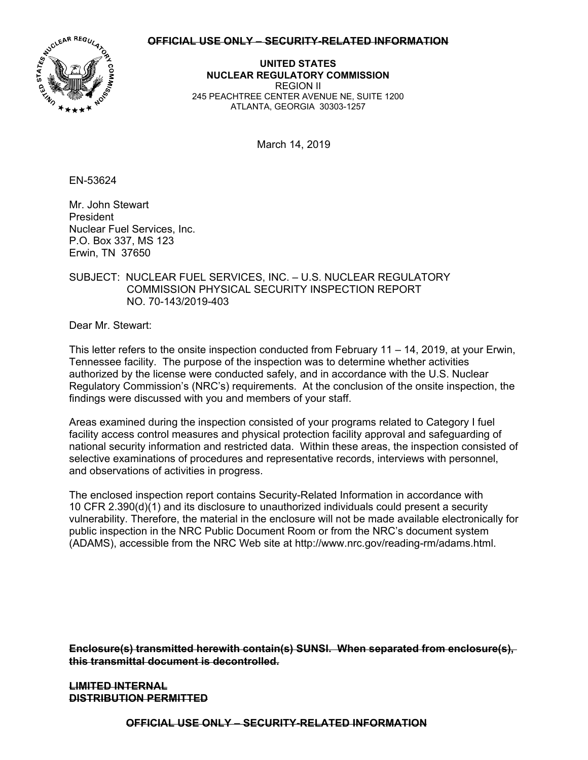## **OFFICIAL USE ONLY – SECURITY-RELATED INFORMATION**



**UNITED STATES NUCLEAR REGULATORY COMMISSION**  REGION II 245 PEACHTREE CENTER AVENUE NE, SUITE 1200 ATLANTA, GEORGIA 30303-1257

March 14, 2019

EN-53624

Mr. John Stewart President Nuclear Fuel Services, Inc. P.O. Box 337, MS 123 Erwin, TN 37650

## SUBJECT: NUCLEAR FUEL SERVICES, INC. – U.S. NUCLEAR REGULATORY COMMISSION PHYSICAL SECURITY INSPECTION REPORT NO. 70-143/2019-403

Dear Mr. Stewart:

This letter refers to the onsite inspection conducted from February 11 – 14, 2019, at your Erwin, Tennessee facility. The purpose of the inspection was to determine whether activities authorized by the license were conducted safely, and in accordance with the U.S. Nuclear Regulatory Commission's (NRC's) requirements. At the conclusion of the onsite inspection, the findings were discussed with you and members of your staff.

Areas examined during the inspection consisted of your programs related to Category I fuel facility access control measures and physical protection facility approval and safeguarding of national security information and restricted data. Within these areas, the inspection consisted of selective examinations of procedures and representative records, interviews with personnel, and observations of activities in progress.

The enclosed inspection report contains Security-Related Information in accordance with 10 CFR 2.390(d)(1) and its disclosure to unauthorized individuals could present a security vulnerability. Therefore, the material in the enclosure will not be made available electronically for public inspection in the NRC Public Document Room or from the NRC's document system (ADAMS), accessible from the NRC Web site at http://www.nrc.gov/reading-rm/adams.html.

**Enclosure(s) transmitted herewith contain(s) SUNSI. When separated from enclosure(s), this transmittal document is decontrolled.** 

**LIMITED INTERNAL DISTRIBUTION PERMITTED** 

**OFFICIAL USE ONLY – SECURITY-RELATED INFORMATION**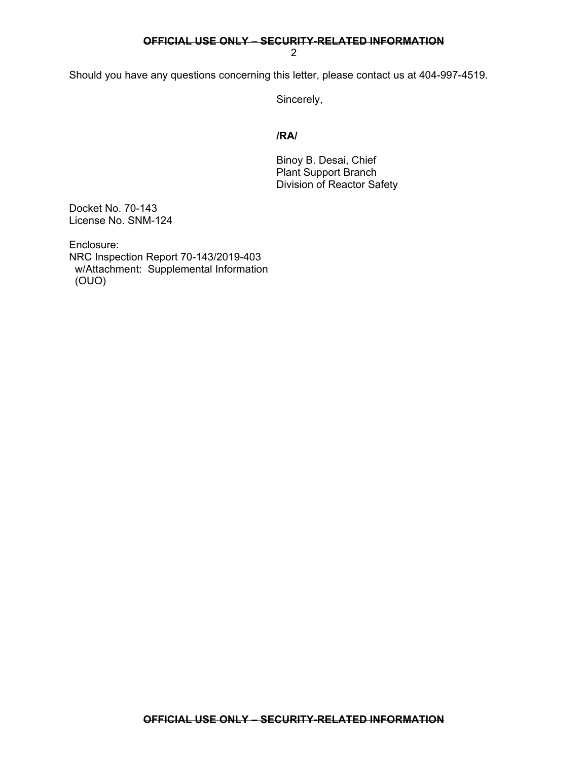## **OFFICIAL USE ONLY – SECURITY-RELATED INFORMATION**

2

Should you have any questions concerning this letter, please contact us at 404-997-4519.

Sincerely,

## **/RA/**

 Binoy B. Desai, Chief Plant Support Branch Division of Reactor Safety

Docket No. 70-143 License No. SNM-124

Enclosure: NRC Inspection Report 70-143/2019-403 w/Attachment: Supplemental Information (OUO)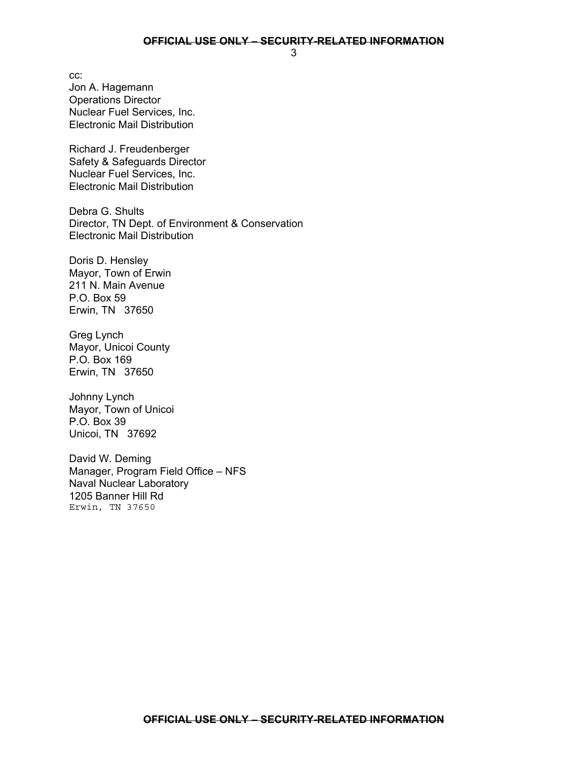cc: Jon A. Hagemann Operations Director Nuclear Fuel Services, Inc. Electronic Mail Distribution

Richard J. Freudenberger Safety & Safeguards Director Nuclear Fuel Services, Inc. Electronic Mail Distribution

Debra G. Shults Director, TN Dept. of Environment & Conservation Electronic Mail Distribution

Doris D. Hensley Mayor, Town of Erwin 211 N. Main Avenue P.O. Box 59 Erwin, TN 37650

Greg Lynch Mayor, Unicoi County P.O. Box 169 Erwin, TN 37650

Johnny Lynch Mayor, Town of Unicoi P.O. Box 39 Unicoi, TN 37692

David W. Deming Manager, Program Field Office – NFS Naval Nuclear Laboratory 1205 Banner Hill Rd Erwin, TN 37650